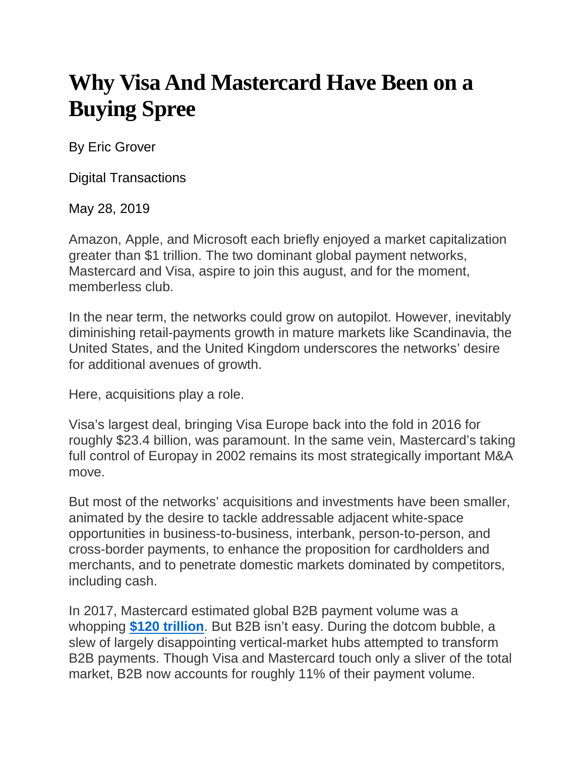## **Why Visa And Mastercard Have Been on a Buying Spree**

By Eric Grover

Digital Transactions

May 28, 2019

Amazon, Apple, and Microsoft each briefly enjoyed a market capitalization greater than \$1 trillion. The two dominant global payment networks, Mastercard and Visa, aspire to join this august, and for the moment, memberless club.

In the near term, the networks could grow on autopilot. However, inevitably diminishing retail-payments growth in mature markets like Scandinavia, the United States, and the United Kingdom underscores the networks' desire for additional avenues of growth.

Here, acquisitions play a role.

Visa's largest deal, bringing Visa Europe back into the fold in 2016 for roughly \$23.4 billion, was paramount. In the same vein, Mastercard's taking full control of Europay in 2002 remains its most strategically important M&A move.

But most of the networks' acquisitions and investments have been smaller, animated by the desire to tackle addressable adjacent white-space opportunities in business-to-business, interbank, person-to-person, and cross-border payments, to enhance the proposition for cardholders and merchants, and to penetrate domestic markets dominated by competitors, including cash.

In 2017, Mastercard estimated global B2B payment volume was a whopping **\$120 [trillion](https://s2.q4cdn.com/242125233/files/doc_presentations/2017/2017-MA-ICM-Presentation.pdf)**. But B2B isn't easy. During the dotcom bubble, a slew of largely disappointing vertical-market hubs attempted to transform B2B payments. Though Visa and Mastercard touch only a sliver of the total market, B2B now accounts for roughly 11% of their payment volume.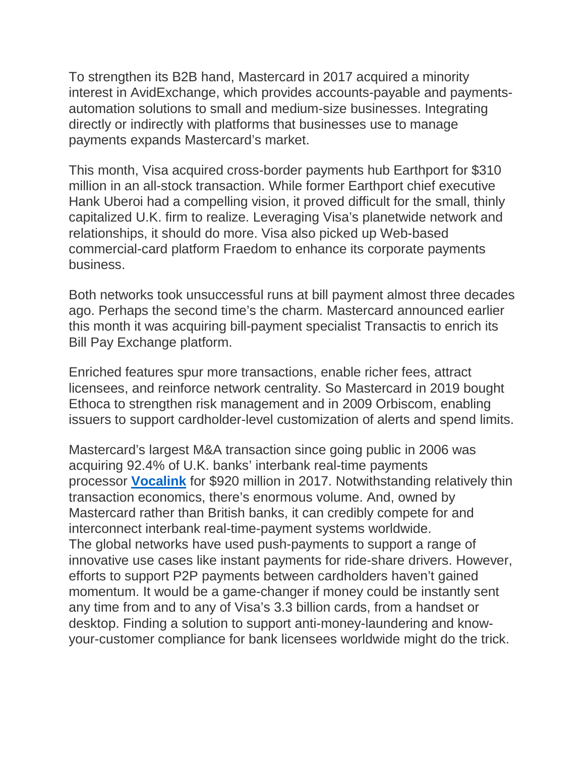To strengthen its B2B hand, Mastercard in 2017 acquired a minority interest in AvidExchange, which provides accounts-payable and paymentsautomation solutions to small and medium-size businesses. Integrating directly or indirectly with platforms that businesses use to manage payments expands Mastercard's market.

This month, Visa acquired cross-border payments hub Earthport for \$310 million in an all-stock transaction. While former Earthport chief executive Hank Uberoi had a compelling vision, it proved difficult for the small, thinly capitalized U.K. firm to realize. Leveraging Visa's planetwide network and relationships, it should do more. Visa also picked up Web-based commercial-card platform Fraedom to enhance its corporate payments business.

Both networks took unsuccessful runs at bill payment almost three decades ago. Perhaps the second time's the charm. Mastercard announced earlier this month it was acquiring bill-payment specialist Transactis to enrich its Bill Pay Exchange platform.

Enriched features spur more transactions, enable richer fees, attract licensees, and reinforce network centrality. So Mastercard in 2019 bought Ethoca to strengthen risk management and in 2009 Orbiscom, enabling issuers to support cardholder-level customization of alerts and spend limits.

Mastercard's largest M&A transaction since going public in 2006 was acquiring 92.4% of U.K. banks' interbank real-time payments processor **[Vocalink](http://www.digitaltransactions.net/vocalink-paypal-and-p2p-will-help-propel-mastercard-the-networks-boss-says/)** for \$920 million in 2017. Notwithstanding relatively thin transaction economics, there's enormous volume. And, owned by Mastercard rather than British banks, it can credibly compete for and interconnect interbank real-time-payment systems worldwide. The global networks have used push-payments to support a range of innovative use cases like instant payments for ride-share drivers. However, efforts to support P2P payments between cardholders haven't gained momentum. It would be a game-changer if money could be instantly sent any time from and to any of Visa's 3.3 billion cards, from a handset or desktop. Finding a solution to support anti-money-laundering and knowyour-customer compliance for bank licensees worldwide might do the trick.